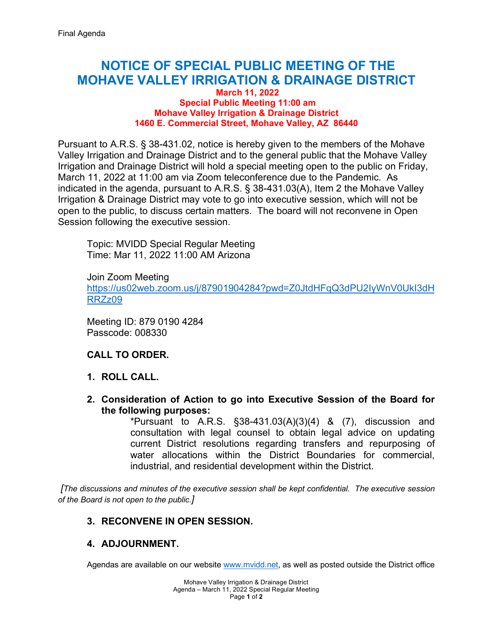# **NOTICE OF SPECIAL PUBLIC MEETING OF THE MOHAVE VALLEY IRRIGATION & DRAINAGE DISTRICT**

#### **March 11, 2022 Special Public Meeting 11:00 am Mohave Valley Irrigation & Drainage District 1460 E. Commercial Street, Mohave Valley, AZ 86440**

Pursuant to A.R.S. § 38-431.02, notice is hereby given to the members of the Mohave Valley Irrigation and Drainage District and to the general public that the Mohave Valley Irrigation and Drainage District will hold a special meeting open to the public on Friday, March 11, 2022 at 11:00 am via Zoom teleconference due to the Pandemic. As indicated in the agenda, pursuant to A.R.S. § 38-431.03(A), Item 2 the Mohave Valley Irrigation & Drainage District may vote to go into executive session, which will not be open to the public, to discuss certain matters. The board will not reconvene in Open Session following the executive session.

Topic: MVIDD Special Regular Meeting Time: Mar 11, 2022 11:00 AM Arizona

Join Zoom Meeting [https://us02web.zoom.us/j/87901904284?pwd=Z0JtdHFqQ3dPU2IyWnV0UkI3dH](https://us02web.zoom.us/j/87901904284?pwd=Z0JtdHFqQ3dPU2IyWnV0UkI3dHRRZz09) [RRZz09](https://us02web.zoom.us/j/87901904284?pwd=Z0JtdHFqQ3dPU2IyWnV0UkI3dHRRZz09)

Meeting ID: 879 0190 4284 Passcode: 008330

## **CALL TO ORDER.**

- **1. ROLL CALL.**
- **2. Consideration of Action to go into Executive Session of the Board for the following purposes:**

\*Pursuant to A.R.S.  $\S$ 38-431.03(A)(3)(4) & (7), discussion and consultation with legal counsel to obtain legal advice on updating current District resolutions regarding transfers and repurposing of water allocations within the District Boundaries for commercial, industrial, and residential development within the District.

*[The discussions and minutes of the executive session shall be kept confidential. The executive session of the Board is not open to the public.]*

#### **3. RECONVENE IN OPEN SESSION.**

## **4. ADJOURNMENT.**

Agendas are available on our website [www.mvidd.net,](http://www.mvidd.net/) as well as posted outside the District office